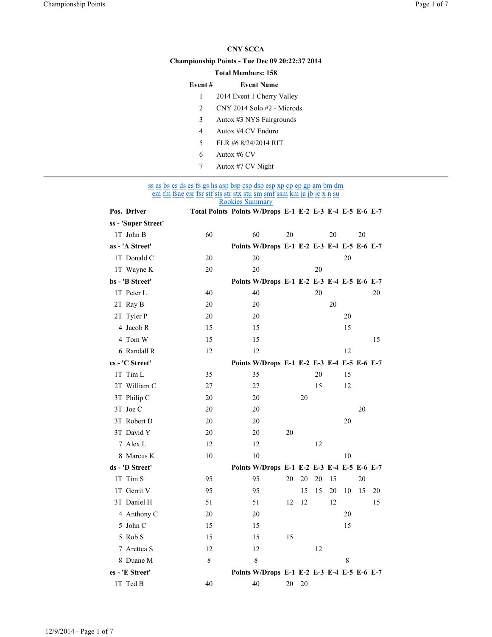## CNY SCCA

# Championship Points - Tue Dec 09 20:22:37 2014

### Total Members: 158

# Event # Event Name

- 1 2014 Event 1 Cherry Valley
- 2 CNY 2014 Solo #2 Microds
- 3 Autox #3 NYS Fairgrounds
- 4 Autox #4 CV Enduro
- 5 FLR #6 8/24/2014 RIT
- 6 Autox #6 CV
- 7 Autox #7 CV Night

#### ss as bs cs ds es fs gs hs asp bsp csp dsp esp xp cp ep gp am bm dm em fm fsae csr fsr stf sts str stx stu sm smf ssm km ja jb jc x n su Rookies Summary

| Pos. Driver         |         | Total Points Points W/Drops E-1 E-2 E-3 E-4 E-5 E-6 E-7 |    |    |    |    |    |    |    |
|---------------------|---------|---------------------------------------------------------|----|----|----|----|----|----|----|
| ss - 'Super Street' |         |                                                         |    |    |    |    |    |    |    |
| 1T John B           | 60      | 60                                                      | 20 |    |    | 20 |    | 20 |    |
| as - 'A Street'     |         | Points W/Drops E-1 E-2 E-3 E-4 E-5 E-6 E-7              |    |    |    |    |    |    |    |
| 1T Donald C         | 20      | 20                                                      |    |    |    |    | 20 |    |    |
| 1T Wayne K          | 20      | 20                                                      |    |    | 20 |    |    |    |    |
| bs - 'B Street'     |         | Points W/Drops E-1 E-2 E-3 E-4 E-5 E-6 E-7              |    |    |    |    |    |    |    |
| 1T Peter L          | 40      | 40                                                      |    |    | 20 |    |    |    | 20 |
| 2T Ray B            | 20      | 20                                                      |    |    |    | 20 |    |    |    |
| 2T Tyler P          | 20      | 20                                                      |    |    |    |    | 20 |    |    |
| 4 Jacob R           | 15      | 15                                                      |    |    |    |    | 15 |    |    |
| 4 Tom W             | 15      | 15                                                      |    |    |    |    |    |    | 15 |
| 6 Randall R         | 12      | 12                                                      |    |    |    |    | 12 |    |    |
| cs - 'C Street'     |         | Points W/Drops E-1 E-2 E-3 E-4 E-5 E-6 E-7              |    |    |    |    |    |    |    |
| 1T Tim L            | 35      | 35                                                      |    |    | 20 |    | 15 |    |    |
| 2T William C        | 27      | 27                                                      |    |    | 15 |    | 12 |    |    |
| 3T Philip C         | 20      | 20                                                      |    | 20 |    |    |    |    |    |
| 3T Joe C            | 20      | 20                                                      |    |    |    |    |    | 20 |    |
| 3T Robert D         | 20      | 20                                                      |    |    |    |    | 20 |    |    |
| 3T David Y          | 20      | 20                                                      | 20 |    |    |    |    |    |    |
| 7 Alex L            | 12      | 12                                                      |    |    | 12 |    |    |    |    |
| 8 Marcus K          | 10      | 10                                                      |    |    |    |    | 10 |    |    |
| ds - 'D Street'     |         | Points W/Drops E-1 E-2 E-3 E-4 E-5 E-6 E-7              |    |    |    |    |    |    |    |
| 1T Tim S            | 95      | 95                                                      | 20 | 20 | 20 | 15 |    | 20 |    |
| 1T Gerrit V         | 95      | 95                                                      |    | 15 | 15 | 20 | 10 | 15 | 20 |
| 3T Daniel H         | 51      | 51                                                      | 12 | 12 |    | 12 |    |    | 15 |
| 4 Anthony C         | 20      | 20                                                      |    |    |    |    | 20 |    |    |
| 5 John C            | 15      | 15                                                      |    |    |    |    | 15 |    |    |
| 5 Rob S             | 15      | 15                                                      | 15 |    |    |    |    |    |    |
| 7 Arettea S         | 12      | 12                                                      |    |    | 12 |    |    |    |    |
| 8 Duane M           | $\,8\,$ | 8                                                       |    |    |    |    | 8  |    |    |
| es - 'E Street'     |         | Points W/Drops E-1 E-2 E-3 E-4 E-5 E-6 E-7              |    |    |    |    |    |    |    |
| 1T Ted B            | 40      | 40                                                      | 20 | 20 |    |    |    |    |    |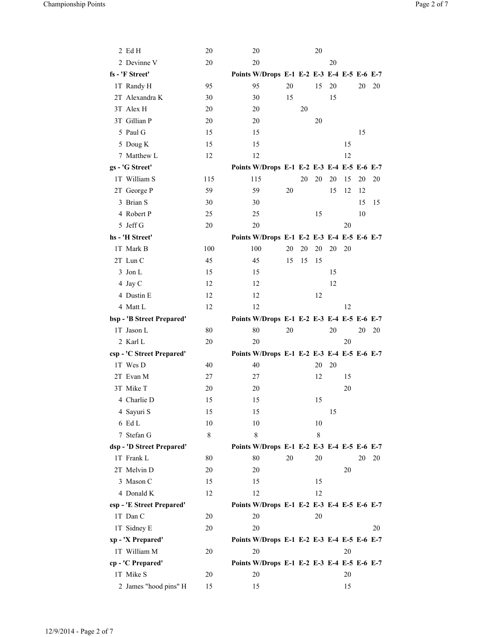| 2 EdH                     | 20      | 20                                         |    |    | 20      |    |    |    |    |
|---------------------------|---------|--------------------------------------------|----|----|---------|----|----|----|----|
| 2 Devinne V               | 20      | 20                                         |    |    |         | 20 |    |    |    |
| fs - 'F Street'           |         | Points W/Drops E-1 E-2 E-3 E-4 E-5 E-6 E-7 |    |    |         |    |    |    |    |
| 1T Randy H                | 95      | 95                                         | 20 |    | 15      | 20 |    | 20 | 20 |
| 2T Alexandra K            | 30      | 30                                         | 15 |    |         | 15 |    |    |    |
| 3T Alex H                 | 20      | 20                                         |    | 20 |         |    |    |    |    |
| 3T Gillian P              | 20      | 20                                         |    |    | 20      |    |    |    |    |
| 5 Paul G                  | 15      | 15                                         |    |    |         |    |    | 15 |    |
| 5 Doug K                  | 15      | 15                                         |    |    |         |    | 15 |    |    |
| 7 Matthew L               | 12      | 12                                         |    |    |         |    | 12 |    |    |
| gs - 'G Street'           |         | Points W/Drops E-1 E-2 E-3 E-4 E-5 E-6 E-7 |    |    |         |    |    |    |    |
| 1T William S              | 115     | 115                                        |    | 20 | 20      | 20 | 15 | 20 | 20 |
| 2T George P               | 59      | 59                                         | 20 |    |         | 15 | 12 | 12 |    |
| 3 Brian S                 | 30      | 30                                         |    |    |         |    |    | 15 | 15 |
| 4 Robert P                | 25      | 25                                         |    |    | 15      |    |    | 10 |    |
| 5 Jeff G                  | 20      | 20                                         |    |    |         |    | 20 |    |    |
| hs - 'H Street'           |         | Points W/Drops E-1 E-2 E-3 E-4 E-5 E-6 E-7 |    |    |         |    |    |    |    |
| 1T Mark B                 | 100     | 100                                        | 20 | 20 | 20      | 20 | 20 |    |    |
| 2T Lun C                  | 45      | 45                                         | 15 | 15 | 15      |    |    |    |    |
| 3 Jon L                   | 15      | 15                                         |    |    |         | 15 |    |    |    |
| 4 Jay C                   | 12      | 12                                         |    |    |         | 12 |    |    |    |
| 4 Dustin E                | 12      | 12                                         |    |    | 12      |    |    |    |    |
| 4 Matt L                  | 12      | 12                                         |    |    |         |    | 12 |    |    |
| bsp - 'B Street Prepared' |         | Points W/Drops E-1 E-2 E-3 E-4 E-5 E-6 E-7 |    |    |         |    |    |    |    |
| 1T Jason L                | 80      | 80                                         | 20 |    |         | 20 |    | 20 | 20 |
| 2 Karl L                  | 20      | 20                                         |    |    |         |    | 20 |    |    |
| csp - 'C Street Prepared' |         | Points W/Drops E-1 E-2 E-3 E-4 E-5 E-6 E-7 |    |    |         |    |    |    |    |
| 1T Wes D                  | 40      | 40                                         |    |    | 20      | 20 |    |    |    |
| 2T Evan M<br>3T Mike T    | 27      | 27                                         |    |    | 12      |    | 15 |    |    |
|                           | 20      | 20                                         |    |    |         |    | 20 |    |    |
| 4 Charlie D               | 15      | 15                                         |    |    | 15      |    |    |    |    |
| 4 Sayuri S<br>6 Ed L      | 15      | 15                                         |    |    |         | 15 |    |    |    |
| 7 Stefan G                | 10<br>8 | 10<br>8                                    |    |    | 10<br>8 |    |    |    |    |
| dsp - 'D Street Prepared' |         | Points W/Drops E-1 E-2 E-3 E-4 E-5 E-6 E-7 |    |    |         |    |    |    |    |
| 1T Frank L                | 80      | 80                                         | 20 |    | 20      |    |    | 20 | 20 |
| 2T Melvin D               | 20      | 20                                         |    |    |         |    | 20 |    |    |
| 3 Mason C                 | 15      | 15                                         |    |    | 15      |    |    |    |    |
| 4 Donald K                | 12      | 12                                         |    |    | 12      |    |    |    |    |
| esp - 'E Street Prepared' |         | Points W/Drops E-1 E-2 E-3 E-4 E-5 E-6 E-7 |    |    |         |    |    |    |    |
| 1T Dan C                  | 20      | 20                                         |    |    | 20      |    |    |    |    |
| 1T Sidney E               | 20      | 20                                         |    |    |         |    |    |    | 20 |
| xp - 'X Prepared'         |         | Points W/Drops E-1 E-2 E-3 E-4 E-5 E-6 E-7 |    |    |         |    |    |    |    |
| 1T William M              | 20      | 20                                         |    |    |         |    | 20 |    |    |
| cp - 'C Prepared'         |         | Points W/Drops E-1 E-2 E-3 E-4 E-5 E-6 E-7 |    |    |         |    |    |    |    |
| 1T Mike S                 | 20      | 20                                         |    |    |         |    | 20 |    |    |
| 2 James "hood pins" H     | 15      | 15                                         |    |    |         |    | 15 |    |    |
|                           |         |                                            |    |    |         |    |    |    |    |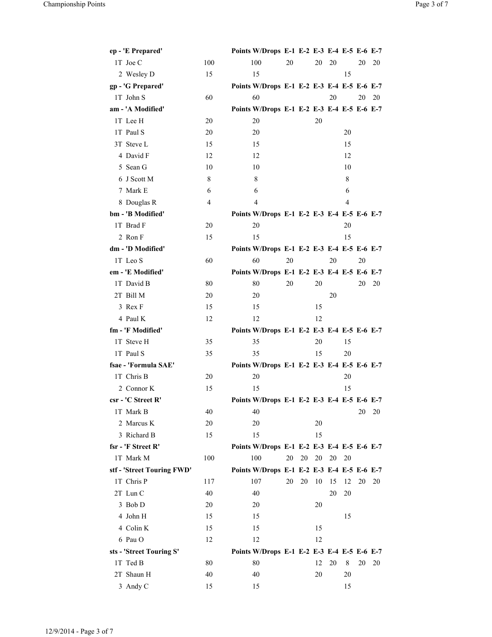| ep - 'E Prepared'          |     | Points W/Drops E-1 E-2 E-3 E-4 E-5 E-6 E-7 |    |    |    |    |    |    |    |
|----------------------------|-----|--------------------------------------------|----|----|----|----|----|----|----|
| 1T Joe C                   | 100 | 100                                        | 20 |    | 20 | 20 |    | 20 | 20 |
| 2 Wesley D                 | 15  | 15                                         |    |    |    |    | 15 |    |    |
| gp - 'G Prepared'          |     | Points W/Drops E-1 E-2 E-3 E-4 E-5 E-6 E-7 |    |    |    |    |    |    |    |
| 1T John S                  | 60  | 60                                         |    |    |    | 20 |    | 20 | 20 |
| am - 'A Modified'          |     | Points W/Drops E-1 E-2 E-3 E-4 E-5 E-6 E-7 |    |    |    |    |    |    |    |
| 1T Lee H                   | 20  | 20                                         |    |    | 20 |    |    |    |    |
| 1T Paul S                  | 20  | 20                                         |    |    |    |    | 20 |    |    |
| 3T Steve L                 | 15  | 15                                         |    |    |    |    | 15 |    |    |
| 4 David F                  | 12  | 12                                         |    |    |    |    | 12 |    |    |
| 5 Sean G                   | 10  | 10                                         |    |    |    |    | 10 |    |    |
| 6 J Scott M                | 8   | 8                                          |    |    |    |    | 8  |    |    |
| 7 Mark E                   | 6   | 6                                          |    |    |    |    | 6  |    |    |
| 8 Douglas R                | 4   | 4                                          |    |    |    |    | 4  |    |    |
| bm - 'B Modified'          |     | Points W/Drops E-1 E-2 E-3 E-4 E-5 E-6 E-7 |    |    |    |    |    |    |    |
| 1T Brad F                  | 20  | 20                                         |    |    |    |    | 20 |    |    |
| 2 Ron F                    | 15  | 15                                         |    |    |    |    | 15 |    |    |
| dm - 'D Modified'          |     | Points W/Drops E-1 E-2 E-3 E-4 E-5 E-6 E-7 |    |    |    |    |    |    |    |
| 1T Leo S                   | 60  | 60                                         | 20 |    |    | 20 |    | 20 |    |
| em - 'E Modified'          |     | Points W/Drops E-1 E-2 E-3 E-4 E-5 E-6 E-7 |    |    |    |    |    |    |    |
| 1T David B                 | 80  | 80                                         | 20 |    | 20 |    |    | 20 | 20 |
| 2T Bill M                  | 20  | 20                                         |    |    |    | 20 |    |    |    |
| 3 Rex F                    | 15  | 15                                         |    |    | 15 |    |    |    |    |
| 4 Paul K                   | 12  | 12                                         |    |    | 12 |    |    |    |    |
| fm - 'F Modified'          |     | Points W/Drops E-1 E-2 E-3 E-4 E-5 E-6 E-7 |    |    |    |    |    |    |    |
| 1T Steve H                 | 35  | 35                                         |    |    | 20 |    | 15 |    |    |
| 1T Paul S                  | 35  | 35                                         |    |    | 15 |    | 20 |    |    |
| fsae - 'Formula SAE'       |     | Points W/Drops E-1 E-2 E-3 E-4 E-5 E-6 E-7 |    |    |    |    |    |    |    |
| 1T Chris B                 | 20  | 20                                         |    |    |    |    | 20 |    |    |
| 2 Connor K                 | 15  | 15                                         |    |    |    |    | 15 |    |    |
| csr - 'C Street R'         |     | Points W/Drops E-1 E-2 E-3 E-4 E-5 E-6 E-7 |    |    |    |    |    |    |    |
| 1T Mark B                  | 40  | 40                                         |    |    |    |    |    | 20 | 20 |
| 2 Marcus K                 | 20  | 20                                         |    |    | 20 |    |    |    |    |
| 3 Richard B                | 15  | 15                                         |    |    | 15 |    |    |    |    |
| fsr - 'F Street R'         |     | Points W/Drops E-1 E-2 E-3 E-4 E-5 E-6 E-7 |    |    |    |    |    |    |    |
| 1T Mark M                  | 100 | 100                                        | 20 | 20 | 20 | 20 | 20 |    |    |
| stf - 'Street Touring FWD' |     | Points W/Drops E-1 E-2 E-3 E-4 E-5 E-6 E-7 |    |    |    |    |    |    |    |
| 1T Chris P                 | 117 | 107                                        | 20 | 20 | 10 | 15 | 12 | 20 | 20 |
| 2T Lun C                   | 40  | 40                                         |    |    |    | 20 | 20 |    |    |
| 3 Bob D                    | 20  | 20                                         |    |    | 20 |    |    |    |    |
| 4 John H                   | 15  | 15                                         |    |    |    |    | 15 |    |    |
| 4 Colin K                  | 15  | 15                                         |    |    | 15 |    |    |    |    |
| 6 Pau O                    | 12  | 12                                         |    |    | 12 |    |    |    |    |
| sts - 'Street Touring S'   |     | Points W/Drops E-1 E-2 E-3 E-4 E-5 E-6 E-7 |    |    |    |    |    |    |    |
| 1T Ted B                   | 80  | 80                                         |    |    | 12 | 20 | 8  | 20 | 20 |
| 2T Shaun H                 | 40  | 40                                         |    |    | 20 |    | 20 |    |    |
| 3 Andy C                   | 15  | 15                                         |    |    |    |    | 15 |    |    |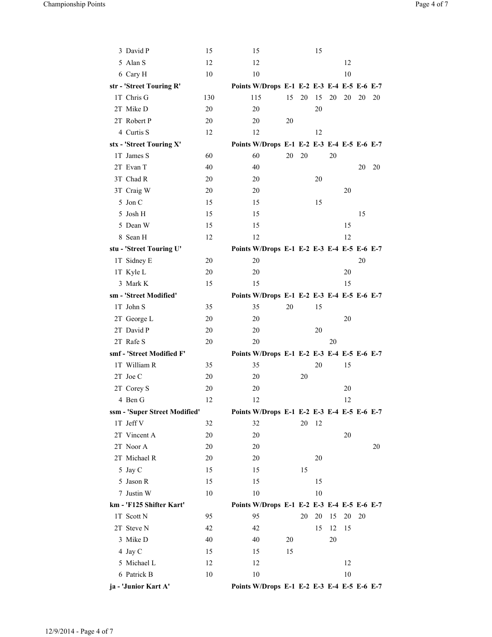| 3 David P                     | 15  | 15                                         |    |    | 15 |    |    |    |    |
|-------------------------------|-----|--------------------------------------------|----|----|----|----|----|----|----|
| 5 Alan S                      | 12  | 12                                         |    |    |    |    | 12 |    |    |
| 6 Cary H                      | 10  | 10                                         |    |    |    |    | 10 |    |    |
| str - 'Street Touring R'      |     | Points W/Drops E-1 E-2 E-3 E-4 E-5 E-6 E-7 |    |    |    |    |    |    |    |
| 1T Chris G                    | 130 | 115                                        | 15 | 20 | 15 | 20 | 20 | 20 | 20 |
| 2T Mike D                     | 20  | 20                                         |    |    | 20 |    |    |    |    |
| 2T Robert P                   | 20  | 20                                         | 20 |    |    |    |    |    |    |
| 4 Curtis S                    | 12  | 12                                         |    |    | 12 |    |    |    |    |
| stx - 'Street Touring X'      |     | Points W/Drops E-1 E-2 E-3 E-4 E-5 E-6 E-7 |    |    |    |    |    |    |    |
| 1T James S                    | 60  | 60                                         | 20 | 20 |    | 20 |    |    |    |
| 2T Evan T                     | 40  | 40                                         |    |    |    |    |    | 20 | 20 |
| 3T Chad R                     | 20  | 20                                         |    |    | 20 |    |    |    |    |
| 3T Craig W                    | 20  | 20                                         |    |    |    |    | 20 |    |    |
| 5 Jon C                       | 15  | 15                                         |    |    | 15 |    |    |    |    |
| 5 Josh H                      | 15  | 15                                         |    |    |    |    |    | 15 |    |
| 5 Dean W                      | 15  | 15                                         |    |    |    |    | 15 |    |    |
| 8 Sean H                      | 12  | 12                                         |    |    |    |    | 12 |    |    |
| stu - 'Street Touring U'      |     | Points W/Drops E-1 E-2 E-3 E-4 E-5 E-6 E-7 |    |    |    |    |    |    |    |
| 1T Sidney E                   | 20  | 20                                         |    |    |    |    |    | 20 |    |
| 1T Kyle L                     | 20  | 20                                         |    |    |    |    | 20 |    |    |
| 3 Mark K                      | 15  | 15                                         |    |    |    |    | 15 |    |    |
| sm - 'Street Modified'        |     | Points W/Drops E-1 E-2 E-3 E-4 E-5 E-6 E-7 |    |    |    |    |    |    |    |
| 1T John S                     | 35  | 35                                         | 20 |    | 15 |    |    |    |    |
| 2T George L                   | 20  | 20                                         |    |    |    |    | 20 |    |    |
| 2T David P                    | 20  | 20                                         |    |    | 20 |    |    |    |    |
| 2T Rafe S                     | 20  | 20                                         |    |    |    | 20 |    |    |    |
| smf - 'Street Modified F'     |     | Points W/Drops E-1 E-2 E-3 E-4 E-5 E-6 E-7 |    |    |    |    |    |    |    |
| 1T William R                  | 35  | 35                                         |    |    | 20 |    | 15 |    |    |
| 2T Joe C                      | 20  | 20                                         |    | 20 |    |    |    |    |    |
| 2T Corey S                    | 20  | 20                                         |    |    |    |    | 20 |    |    |
| 4 Ben G                       | 12  | 12                                         |    |    |    |    | 12 |    |    |
| ssm - 'Super Street Modified' |     | Points W/Drops E-1 E-2 E-3 E-4 E-5 E-6 E-7 |    |    |    |    |    |    |    |
| 1T Jeff V                     | 32  | 32                                         |    | 20 | 12 |    |    |    |    |
| 2T Vincent A                  | 20  | 20                                         |    |    |    |    | 20 |    |    |
| 2T Noor A                     | 20  | 20                                         |    |    |    |    |    |    | 20 |
| 2T Michael R                  | 20  | 20                                         |    |    | 20 |    |    |    |    |
| 5 Jay C                       | 15  | 15                                         |    | 15 |    |    |    |    |    |
| 5 Jason R                     | 15  | 15                                         |    |    | 15 |    |    |    |    |
| 7 Justin W                    | 10  | 10                                         |    |    | 10 |    |    |    |    |
| km - 'F125 Shifter Kart'      |     | Points W/Drops E-1 E-2 E-3 E-4 E-5 E-6 E-7 |    |    |    |    |    |    |    |
| 1T Scott N                    | 95  | 95                                         |    | 20 | 20 | 15 | 20 | 20 |    |
| 2T Steve N                    | 42  | 42                                         |    |    | 15 | 12 | 15 |    |    |
| 3 Mike D                      | 40  | 40                                         | 20 |    |    | 20 |    |    |    |
| 4 Jay C                       | 15  | 15                                         | 15 |    |    |    |    |    |    |
| 5 Michael L                   | 12  | 12                                         |    |    |    |    | 12 |    |    |
| 6 Patrick B                   | 10  | 10                                         |    |    |    |    | 10 |    |    |
| ja - 'Junior Kart A'          |     | Points W/Drops E-1 E-2 E-3 E-4 E-5 E-6 E-7 |    |    |    |    |    |    |    |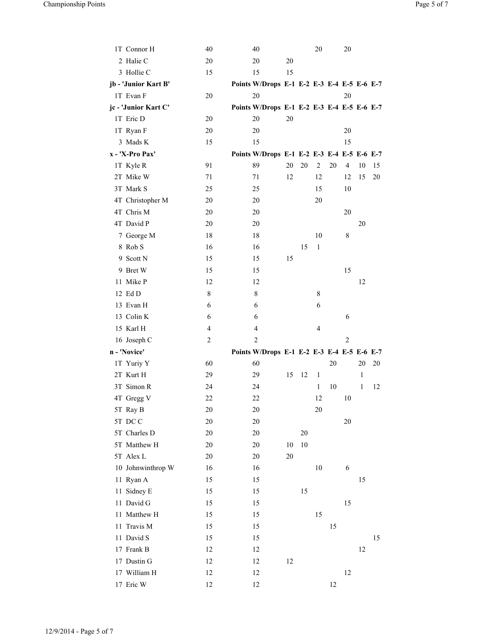| 1T Connor H          | 40             | 40                                         |    |    | 20 |    | 20             |    |    |
|----------------------|----------------|--------------------------------------------|----|----|----|----|----------------|----|----|
| 2 Halie C            | 20             | 20                                         | 20 |    |    |    |                |    |    |
| 3 Hollie C           | 15             | 15                                         | 15 |    |    |    |                |    |    |
| jb - 'Junior Kart B' |                | Points W/Drops E-1 E-2 E-3 E-4 E-5 E-6 E-7 |    |    |    |    |                |    |    |
| 1T Evan F            | 20             | 20                                         |    |    |    |    | 20             |    |    |
| jc - 'Junior Kart C' |                | Points W/Drops E-1 E-2 E-3 E-4 E-5 E-6 E-7 |    |    |    |    |                |    |    |
| 1T Eric D            | 20             | 20                                         | 20 |    |    |    |                |    |    |
| 1T Ryan F            | 20             | 20                                         |    |    |    |    | 20             |    |    |
| 3 Mads K             | 15             | 15                                         |    |    |    |    | 15             |    |    |
| x - 'X-Pro Pax'      |                | Points W/Drops E-1 E-2 E-3 E-4 E-5 E-6 E-7 |    |    |    |    |                |    |    |
| 1T Kyle R            | 91             | 89                                         | 20 | 20 | 2  | 20 | $\overline{4}$ | 10 | 15 |
| 2T Mike W            | 71             | 71                                         | 12 |    | 12 |    | 12             | 15 | 20 |
| 3T Mark S            | 25             | 25                                         |    |    | 15 |    | 10             |    |    |
| 4T Christopher M     | 20             | 20                                         |    |    | 20 |    |                |    |    |
| 4T Chris M           | 20             | 20                                         |    |    |    |    | 20             |    |    |
| 4T David P           | 20             | 20                                         |    |    |    |    |                | 20 |    |
| 7 George M           | 18             | 18                                         |    |    | 10 |    | 8              |    |    |
| 8 Rob S              | 16             | 16                                         |    | 15 | 1  |    |                |    |    |
| 9 Scott N            | 15             | 15                                         | 15 |    |    |    |                |    |    |
| 9 Bret W             | 15             | 15                                         |    |    |    |    | 15             |    |    |
| 11 Mike P            | 12             | 12                                         |    |    |    |    |                | 12 |    |
| 12 Ed D              | 8              | 8                                          |    |    | 8  |    |                |    |    |
| 13 Evan H            | 6              | 6                                          |    |    | 6  |    |                |    |    |
| 13 Colin K           | 6              |                                            |    |    |    |    |                |    |    |
|                      |                | 6                                          |    |    |    |    | 6              |    |    |
| 15 Karl H            | 4              | 4                                          |    |    | 4  |    |                |    |    |
| 16 Joseph C          | $\overline{c}$ | $\overline{2}$                             |    |    |    |    | $\overline{2}$ |    |    |
| n - 'Novice'         |                | Points W/Drops E-1 E-2 E-3 E-4 E-5 E-6 E-7 |    |    |    |    |                |    |    |
| 1T Yuriy Y           | 60             | 60                                         |    |    |    | 20 |                | 20 | 20 |
| 2T Kurt H            | 29             | 29                                         | 15 | 12 | 1  |    |                | 1  |    |
| 3T Simon R           | 24             | 24                                         |    |    | 1  | 10 |                | 1  | 12 |
| 4T Gregg V           | 22             | 22                                         |    |    | 12 |    | 10             |    |    |
| 5T Ray B             | 20             | 20                                         |    |    | 20 |    |                |    |    |
| 5T DCC               | 20             | 20                                         |    |    |    |    | 20             |    |    |
| 5T Charles D         | 20             | 20                                         |    | 20 |    |    |                |    |    |
| 5T Matthew H         | 20             | 20                                         | 10 | 10 |    |    |                |    |    |
| 5T Alex L            | 20             | 20                                         | 20 |    |    |    |                |    |    |
| 10 Johnwinthrop W    | 16             | 16                                         |    |    | 10 |    | 6              |    |    |
| 11 Ryan A            | 15             | 15                                         |    |    |    |    |                | 15 |    |
| 11 Sidney E          | 15             | 15                                         |    | 15 |    |    |                |    |    |
| 11 David G           | 15             | 15                                         |    |    |    |    | 15             |    |    |
| 11 Matthew H         | 15             | 15                                         |    |    | 15 |    |                |    |    |
| 11 Travis M          | 15             | 15                                         |    |    |    | 15 |                |    |    |
| 11 David S           | 15             | 15                                         |    |    |    |    |                |    | 15 |
| 17 Frank B           | 12             | 12                                         |    |    |    |    |                | 12 |    |
| 17 Dustin G          | 12             | 12                                         | 12 |    |    |    |                |    |    |
| 17 William H         | 12             | 12                                         |    |    |    |    | 12             |    |    |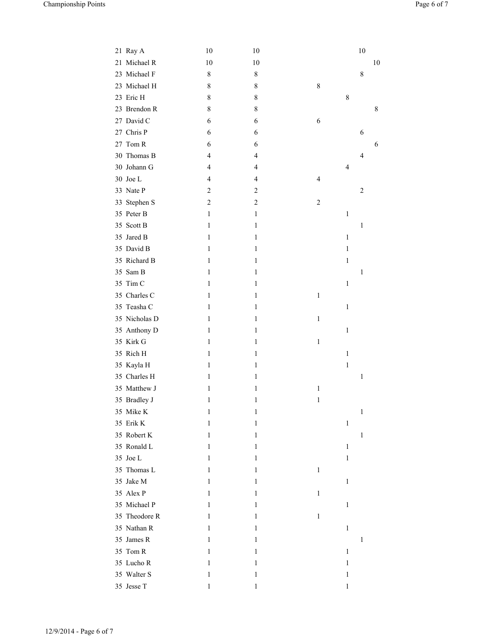| 21 Ray A      | 10             | 10             |                |              | 10                      |    |
|---------------|----------------|----------------|----------------|--------------|-------------------------|----|
| 21 Michael R  | 10             | 10             |                |              |                         | 10 |
| 23 Michael F  | 8              | $\,$ $\,$      |                |              | $\,$ 8 $\,$             |    |
| 23 Michael H  | 8              | 8              | 8              |              |                         |    |
| 23 Eric H     | 8              | 8              |                | 8            |                         |    |
| 23 Brendon R  | 8              | $\,$ $\,$      |                |              |                         | 8  |
| 27 David C    | 6              | 6              | 6              |              |                         |    |
| 27 Chris P    | 6              | 6              |                |              | 6                       |    |
| 27 Tom R      | 6              | 6              |                |              |                         | 6  |
| 30 Thomas B   | $\overline{4}$ | 4              |                |              | $\overline{4}$          |    |
| 30 Johann G   | $\overline{4}$ | 4              |                | 4            |                         |    |
| 30 Joe L      | $\overline{4}$ | 4              | $\overline{4}$ |              |                         |    |
| 33 Nate P     | $\overline{c}$ | $\overline{c}$ |                |              | $\overline{\mathbf{c}}$ |    |
| 33 Stephen S  | $\sqrt{2}$     | $\overline{c}$ | $\overline{c}$ |              |                         |    |
| 35 Peter B    | $\mathbf{1}$   | 1              |                | $\mathbf{1}$ |                         |    |
| 35 Scott B    | 1              | 1              |                |              | $\mathbf{1}$            |    |
| 35 Jared B    | 1              | 1              |                | $\mathbf{1}$ |                         |    |
| 35 David B    | 1              | 1              |                | $\mathbf{1}$ |                         |    |
| 35 Richard B  | 1              | 1              |                | 1            |                         |    |
| 35 Sam B      | 1              | 1              |                |              | $\mathbf{1}$            |    |
| 35 Tim C      | 1              | 1              |                | $\mathbf{1}$ |                         |    |
| 35 Charles C  | 1              | 1              | $\mathbf{1}$   |              |                         |    |
| 35 Teasha C   | 1              | 1              |                | $\mathbf{1}$ |                         |    |
| 35 Nicholas D | 1              | 1              | 1              |              |                         |    |
| 35 Anthony D  | 1              | 1              |                | $\mathbf{1}$ |                         |    |
| 35 Kirk G     | 1              | 1              | $\mathbf{1}$   |              |                         |    |
| 35 Rich H     | 1              | 1              |                | $\mathbf{1}$ |                         |    |
| 35 Kayla H    | 1              | 1              |                | 1            |                         |    |
| 35 Charles H  | 1              | 1              |                |              | $\mathbf{1}$            |    |
| 35 Matthew J  | 1              | 1              | $\mathbf{1}$   |              |                         |    |
| 35 Bradley J  | 1              | 1              | 1              |              |                         |    |
| 35 Mike K     | 1              | 1              |                |              | $\mathbf{1}$            |    |
| 35 Erik K     | 1              | 1              |                | $\,1\,$      |                         |    |
| 35 Robert K   | 1              | 1              |                |              | $\mathbf{1}$            |    |
| 35 Ronald L   | 1              | 1              |                | $\mathbf{1}$ |                         |    |
| 35 Joe L      | 1              | 1              |                | 1            |                         |    |
| 35 Thomas L   | 1              | 1              | $\mathbf{1}$   |              |                         |    |
| 35 Jake M     | 1              | 1              |                | $\mathbf{1}$ |                         |    |
| 35 Alex P     | 1              | 1              | $\mathbf{1}$   |              |                         |    |
| 35 Michael P  | 1              | 1              |                | $\mathbf{1}$ |                         |    |
| 35 Theodore R | 1              | 1              | $\mathbf{1}$   |              |                         |    |
| 35 Nathan R   | 1              | 1              |                | $\mathbf{1}$ |                         |    |
| 35 James R    | 1              | 1              |                |              | $\mathbf{1}$            |    |
| 35 Tom R      | 1              | 1              |                | $\mathbf{1}$ |                         |    |
| 35 Lucho R    | 1              | 1              |                | $\mathbf{1}$ |                         |    |
| 35 Walter S   | 1              | 1              |                | $\mathbf{1}$ |                         |    |
| 35 Jesse T    | 1              | 1              |                | $\,1\,$      |                         |    |